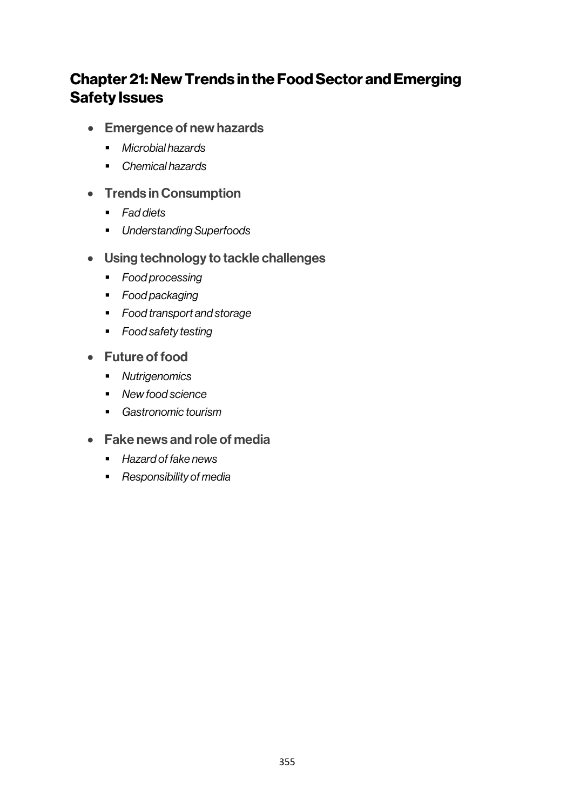# Chapter 21: New Trends in the Food Sector and Emerging Safety Issues

- Emergence of new hazards
	- § *Microbial hazards*
	- § *Chemical hazards*
- Trends in Consumption
	- § *Fad diets*
	- § *Understanding Superfoods*
- Using technology to tackle challenges
	- *Food processing*
	- § *Food packaging*
	- § *Food transport and storage*
	- § *Food safety testing*
- Future of food
	- § *Nutrigenomics*
	- § *New food science*
	- § *Gastronomic tourism*
- Fake news and role of media
	- *Hazard of fake news*
	- **Responsibility of media**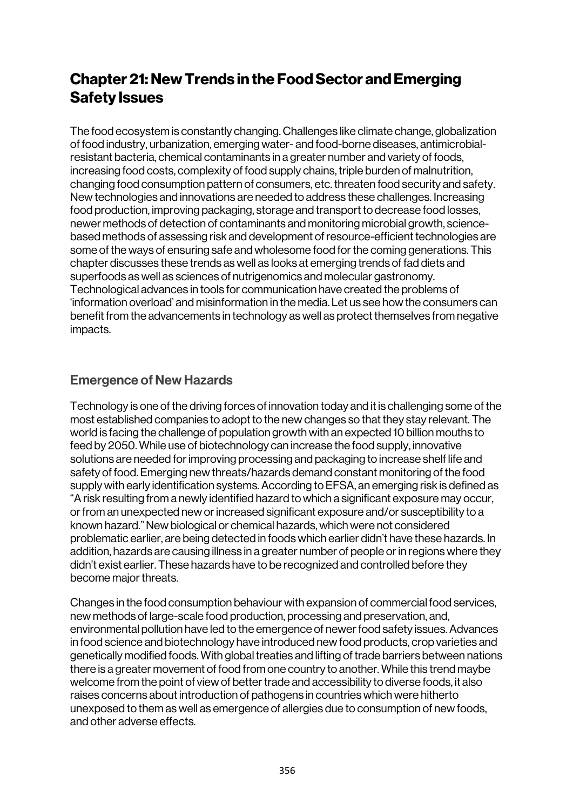# Chapter 21: New Trends in the Food Sector and Emerging Safety Issues

The food ecosystem is constantly changing. Challenges like climate change, globalization of food industry, urbanization, emerging water- and food-borne diseases, antimicrobialresistant bacteria, chemical contaminants in a greater number and variety of foods, increasing food costs, complexity of food supply chains, triple burden of malnutrition, changing food consumption pattern of consumers, etc. threaten food security and safety. New technologies and innovations are needed to address these challenges. Increasing food production, improving packaging, storage and transport to decrease food losses, newer methods of detection of contaminants and monitoring microbial growth, sciencebased methods of assessing risk and development of resource-efficient technologies are some of the ways of ensuring safe and wholesome food for the coming generations. This chapter discusses these trends as well as looks at emerging trends of fad diets and superfoods as well as sciences of nutrigenomics and molecular gastronomy. Technological advances in tools for communication have created the problems of 'information overload' and misinformation in the media. Let us see how the consumers can benefit from the advancements in technology as well as protect themselves from negative impacts.

## Emergence of New Hazards

Technology is one of the driving forces of innovation today and it is challenging some of the most established companies to adopt to the new changes so that they stay relevant. The world is facing the challenge of population growth with an expected 10 billion mouths to feed by 2050. While use of biotechnology can increase the food supply, innovative solutions are needed for improving processing and packaging to increase shelf life and safety of food. Emerging new threats/hazards demand constant monitoring of the food supply with early identification systems. According to EFSA, an emerging risk is defined as "A risk resulting from a newly identified hazard to which a significant exposure may occur, or from an unexpected new or increased significant exposure and/or susceptibility to a known hazard." New biological or chemical hazards, which were not considered problematic earlier, are being detected in foods which earlier didn't have these hazards. In addition, hazards are causing illness in a greater number of people or in regions where they didn't exist earlier. These hazards have to be recognized and controlled before they become major threats.

Changes in the food consumption behaviour with expansion of commercial food services, new methods of large-scale food production, processing and preservation, and, environmental pollution have led to the emergence of newer food safety issues. Advances in food science and biotechnology have introduced new food products, crop varieties and genetically modified foods. With global treaties and lifting of trade barriers between nations there is a greater movement of food from one country to another. While this trend maybe welcome from the point of view of better trade and accessibility to diverse foods, it also raises concerns about introduction of pathogens in countries which were hitherto unexposed to them as well as emergence of allergies due to consumption of new foods, and other adverse effects.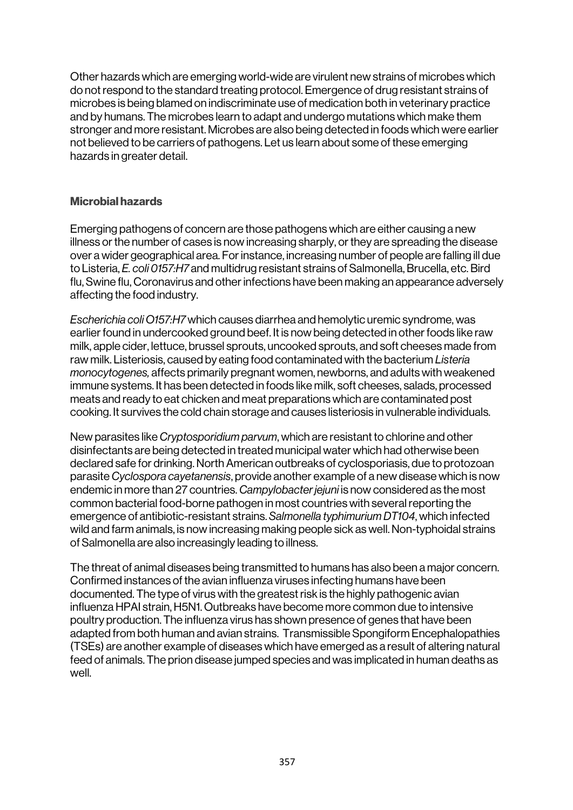Other hazards which are emerging world-wide are virulent new strains of microbes which do not respond to the standard treating protocol. Emergence of drug resistant strains of microbes is being blamed on indiscriminate use of medication both in veterinary practice and by humans. The microbes learn to adapt and undergo mutations which make them stronger and more resistant. Microbes are also being detected in foods which were earlier not believed to be carriers of pathogens. Let us learn about some of these emerging hazards in greater detail.

### Microbial hazards

Emerging pathogens of concern are those pathogens which are either causing a new illness or the number of cases is now increasing sharply, or they are spreading the disease over a wider geographical area. For instance, increasing number of people are falling ill due to Listeria, *E. coli 0157:H7* and multidrug resistant strains of Salmonella, Brucella, etc. Bird flu, Swine flu, Coronavirus and other infections have been making an appearance adversely affecting the food industry.

*Escherichia coli O157:H7* which causes diarrhea and hemolytic uremic syndrome, was earlier found in undercooked ground beef. It is now being detected in other foods like raw milk, apple cider, lettuce, brussel sprouts, uncooked sprouts, and soft cheesesmade from raw milk. Listeriosis, caused by eating food contaminated with the bacterium *Listeria monocytogenes,* affects primarily pregnant women, newborns, and adults with weakened immune systems. It has been detected in foods like milk, soft cheeses, salads, processed meats and ready to eat chicken and meat preparations which are contaminated post cooking. It survives the cold chain storage and causes listeriosis in vulnerable individuals.

New parasites like *Cryptosporidium parvum*, which are resistant to chlorine and other disinfectants are being detected in treated municipal water which had otherwise been declared safe for drinking. North American outbreaks of cyclosporiasis, due to protozoan parasite *Cyclospora cayetanensis*, provide another example of a new disease which is now endemic in more than 27 countries. *Campylobacter jejuni* is now considered as the most common bacterial food-borne pathogen in most countries with several reporting the emergence of antibiotic-resistant strains. *Salmonella typhimurium DT104*, which infected wild and farm animals, is now increasing making people sick as well. Non-typhoidal strains of Salmonella are also increasingly leading to illness.

The threat of animal diseases being transmitted to humans has also been a major concern. Confirmed instances of the avian influenza viruses infecting humans have been documented. The type of virus with the greatest risk is the highly pathogenic avian influenza HPAI strain, H5N1. Outbreaks have become more common due to intensive poultry production. The influenza virus has shown presence of genes that have been adapted from both human and avian strains. Transmissible Spongiform Encephalopathies (TSEs) are another example of diseases which have emerged as a result of altering natural feed of animals. The prion disease jumped species and was implicated in human deaths as well.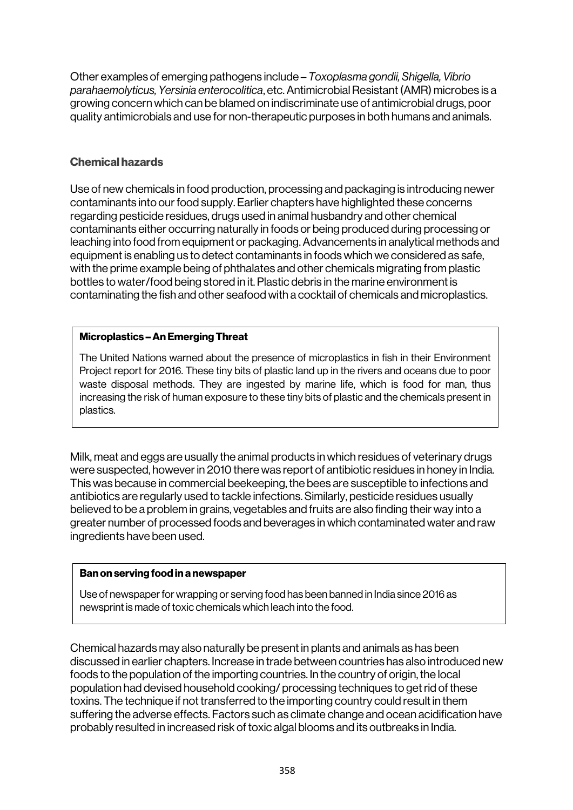Other examples of emerging pathogens include – *Toxoplasma gondii, Shigella, Vibrio parahaemolyticus, Yersinia enterocolitica*, etc. Antimicrobial Resistant (AMR) microbes is a growing concern which can be blamed on indiscriminate use of antimicrobial drugs, poor quality antimicrobials and use for non-therapeutic purposes in both humans and animals.

### Chemical hazards

Use of new chemicals in food production, processing and packaging is introducing newer contaminants into our food supply. Earlier chapters have highlighted these concerns regarding pesticide residues, drugs used in animal husbandry and other chemical contaminants either occurring naturally in foods or being produced during processing or leaching into food from equipment or packaging. Advancements in analytical methods and equipment is enabling us to detect contaminants in foods which we considered as safe, with the prime example being of phthalates and other chemicals migrating from plastic bottles to water/food being stored in it. Plastic debris in the marine environment is contaminating the fish and other seafood with a cocktail of chemicals and microplastics.

### Microplastics –An Emerging Threat

The United Nations warned about the presence of microplastics in fish in their Environment Project report for 2016. These tiny bits of plastic land up in the rivers and oceans due to poor waste disposal methods. They are ingested by marine life, which is food for man, thus increasing the risk of human exposure to these tiny bits of plastic and the chemicals present in plastics.

Milk, meat and eggs are usually the animal products in which residues of veterinary drugs were suspected, however in 2010 there was report of antibiotic residues in honey in India. This was because in commercial beekeeping, the bees are susceptible to infections and antibiotics are regularly used to tackle infections. Similarly, pesticide residues usually believed to be a problem in grains, vegetables and fruits are also finding their way into a greater number of processed foods and beverages in which contaminated water and raw ingredients have been used.

#### Ban on serving food in a newspaper

Use of newspaper for wrapping or serving food has been banned in India since 2016 as newsprint is made of toxic chemicals which leach into the food.

Chemical hazards may also naturally be present in plants and animals as has been discussed in earlier chapters. Increase in trade between countries has also introduced new foods to the population of the importing countries. In the country of origin, the local population had devised household cooking/ processing techniques to get rid of these toxins. The technique if not transferred to the importing country could result in them suffering the adverse effects. Factors such as climate change and ocean acidification have probably resulted in increased risk of toxic algal blooms and its outbreaks in India.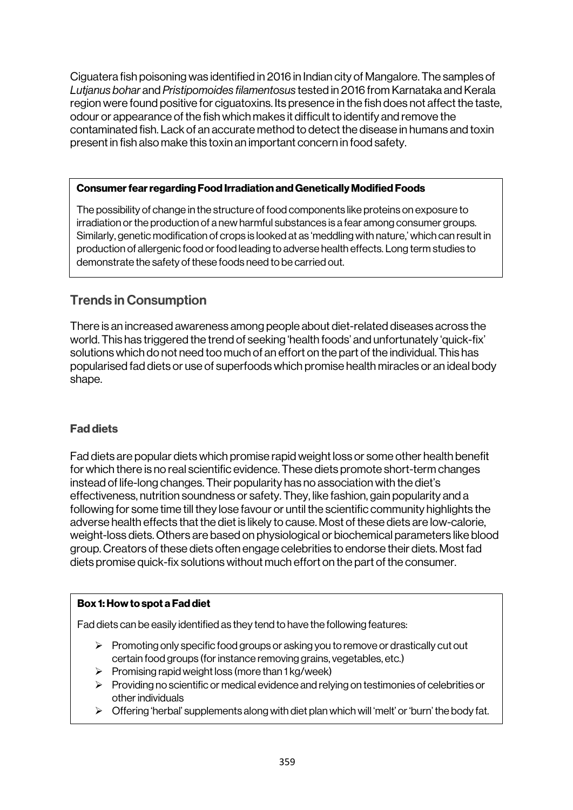Ciguatera fish poisoning was identified in 2016 in Indian city of Mangalore. The samples of *Lutjanus bohar* and *Pristipomoides filamentosus* tested in 2016 from Karnataka and Kerala region were found positive for ciguatoxins. Its presence in the fish does not affect the taste, odour or appearance of the fish which makes it difficult to identify and remove the contaminated fish. Lack of an accurate method to detect the disease in humans and toxin present in fish also make this toxin an important concern in food safety.

### Consumer fear regarding Food Irradiation and Genetically Modified Foods

The possibility of change in the structure of food components like proteins on exposure to irradiation or the production of a new harmful substances is a fear among consumer groups. Similarly, genetic modification of crops is looked at as 'meddling with nature,' which can result in production of allergenic food or food leading to adverse health effects. Long term studies to demonstrate the safety of these foods need to be carried out.

## Trends in Consumption

There is an increased awareness among people about diet-related diseases across the world. This has triggered the trend of seeking 'health foods' and unfortunately 'quick-fix' solutions which do not need too much of an effort on the part of the individual. This has popularised fad diets or use of superfoods which promise health miracles or an ideal body shape.

### Fad diets

Fad diets are popular diets which promise rapid weight loss or some other health benefit for which there is no real scientific evidence. These diets promote short-term changes instead of life-long changes. Their popularity has no association with the diet's effectiveness, nutrition soundness or safety. They, like fashion, gain popularity and a following for some time till they lose favour or until the scientific community highlights the adverse health effects that the diet is likely to cause. Most of these diets are low-calorie, weight-loss diets. Others are based on physiological or biochemical parameters like blood group. Creators of these diets often engage celebrities to endorse their diets. Most fad diets promise quick-fix solutions without much effort on the part of the consumer.

### Box 1: How to spot a Fad diet

Fad diets can be easily identified as they tend to have the following features:

- $\triangleright$  Promoting only specific food groups or asking you to remove or drastically cut out certain food groups (for instance removing grains, vegetables, etc.)
- $\triangleright$  Promising rapid weight loss (more than 1 kg/week)
- $\triangleright$  Providing no scientific or medical evidence and relying on testimonies of celebrities or other individuals
- $\triangleright$  Offering 'herbal' supplements along with diet plan which will 'melt' or 'burn' the body fat.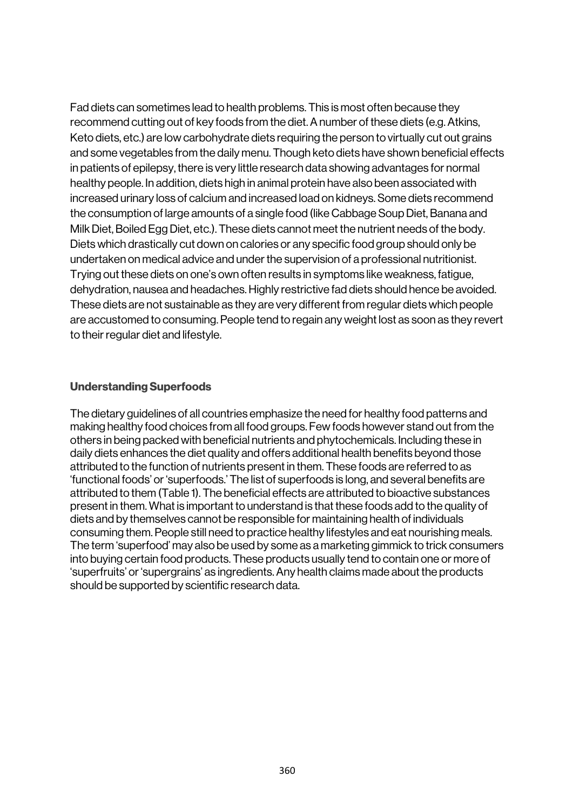Fad diets can sometimes lead to health problems. This is most often because they recommend cutting out of key foods from the diet. A number of these diets (e.g. Atkins, Keto diets, etc.) are low carbohydrate diets requiring the person to virtually cut out grains and some vegetables from the daily menu. Though keto diets have shown beneficial effects in patients of epilepsy, there is very little research data showing advantages for normal healthy people. In addition, diets high in animal protein have also been associated with increased urinary loss of calcium and increased load on kidneys. Some diets recommend the consumption of large amounts of a single food (like Cabbage Soup Diet, Banana and Milk Diet, Boiled Egg Diet, etc.). These diets cannot meet the nutrient needs of the body. Diets which drastically cut down on calories or any specific food group should only be undertaken on medical advice and under the supervision of a professional nutritionist. Trying out these diets on one's own often results in symptoms like weakness, fatigue, dehydration, nausea and headaches. Highly restrictive fad diets should hence be avoided. These diets are not sustainable as they are very different from regular diets which people are accustomed to consuming. People tend to regain any weight lost as soon as they revert to their regular diet and lifestyle.

### Understanding Superfoods

The dietary guidelines of all countries emphasize the need for healthy food patterns and making healthy food choices from all food groups. Few foods however stand out from the others in being packed with beneficial nutrients and phytochemicals. Including these in daily diets enhances the diet quality and offers additional health benefits beyond those attributed to the function of nutrients present in them. These foods are referred to as 'functional foods' or 'superfoods.' The list of superfoods is long, and several benefits are attributed to them (Table 1). The beneficial effects are attributed to bioactive substances present in them. What is important to understand is that these foods add to the quality of diets and by themselves cannot be responsible for maintaining health of individuals consuming them. People still need to practice healthy lifestyles and eat nourishing meals. The term 'superfood' may also be used by some as a marketing gimmick to trick consumers into buying certain food products. These products usually tend to contain one or more of 'superfruits' or 'supergrains' as ingredients. Any health claims made about the products should be supported by scientific research data.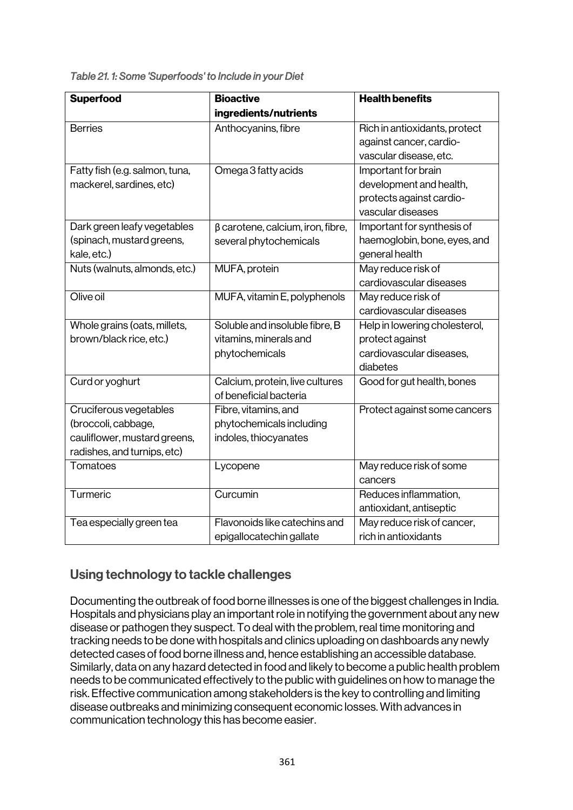*Table 21. 1: Some 'Superfoods' to Include in your Diet* 

| <b>Superfood</b>               | <b>Bioactive</b>                        | <b>Health benefits</b>        |
|--------------------------------|-----------------------------------------|-------------------------------|
|                                | ingredients/nutrients                   |                               |
| <b>Berries</b>                 | Anthocyanins, fibre                     | Rich in antioxidants, protect |
|                                |                                         | against cancer, cardio-       |
|                                |                                         | vascular disease, etc.        |
| Fatty fish (e.g. salmon, tuna, | Omega 3 fatty acids                     | Important for brain           |
| mackerel, sardines, etc)       |                                         | development and health,       |
|                                |                                         | protects against cardio-      |
|                                |                                         | vascular diseases             |
| Dark green leafy vegetables    | $\beta$ carotene, calcium, iron, fibre, | Important for synthesis of    |
| (spinach, mustard greens,      | several phytochemicals                  | haemoglobin, bone, eyes, and  |
| kale, etc.)                    |                                         | general health                |
| Nuts (walnuts, almonds, etc.)  | MUFA, protein                           | May reduce risk of            |
|                                |                                         | cardiovascular diseases       |
| Olive oil                      | MUFA, vitamin E, polyphenols            | May reduce risk of            |
|                                |                                         | cardiovascular diseases       |
| Whole grains (oats, millets,   | Soluble and insoluble fibre, B          | Help in lowering cholesterol, |
| brown/black rice, etc.)        | vitamins, minerals and                  | protect against               |
|                                | phytochemicals                          | cardiovascular diseases,      |
|                                |                                         | diabetes                      |
| Curd or yoghurt                | Calcium, protein, live cultures         | Good for gut health, bones    |
|                                | of beneficial bacteria                  |                               |
| Cruciferous vegetables         | Fibre, vitamins, and                    | Protect against some cancers  |
| (broccoli, cabbage,            | phytochemicals including                |                               |
| cauliflower, mustard greens,   | indoles, thiocyanates                   |                               |
| radishes, and turnips, etc)    |                                         |                               |
| Tomatoes                       | Lycopene                                | May reduce risk of some       |
|                                |                                         | cancers                       |
| Turmeric                       | Curcumin                                | Reduces inflammation,         |
|                                |                                         | antioxidant, antiseptic       |
| Tea especially green tea       | Flavonoids like catechins and           | May reduce risk of cancer,    |
|                                | epigallocatechin gallate                | rich in antioxidants          |

## Using technology to tackle challenges

Documenting the outbreak of food borne illnesses is one of the biggest challenges in India. Hospitals and physicians play an important role in notifying the government about any new disease or pathogen they suspect. To deal with the problem, real time monitoring and tracking needs to be done with hospitals and clinics uploading on dashboards any newly detected cases of food borne illness and, hence establishing an accessible database. Similarly, data on any hazard detected in food and likely to become a public health problem needs to be communicated effectively to the public with guidelines on how to manage the risk. Effective communication among stakeholders is the key to controlling and limiting disease outbreaks and minimizing consequent economic losses. With advances in communication technology this has become easier.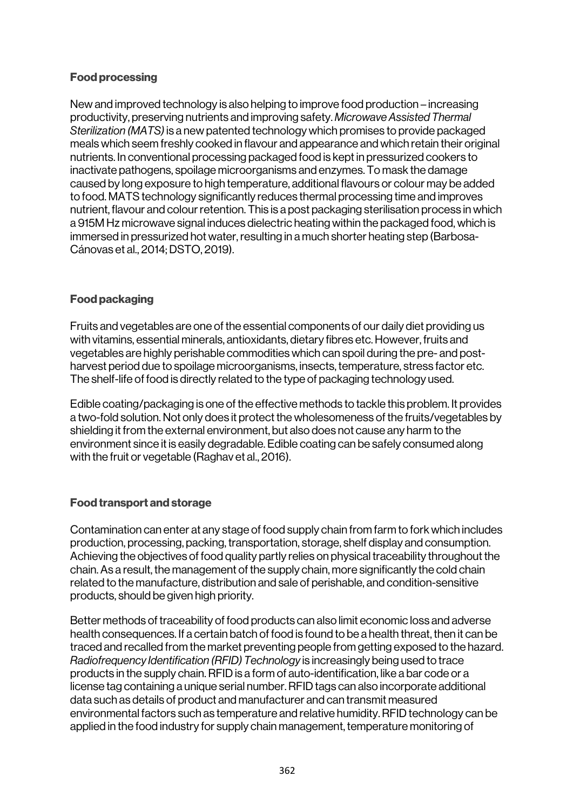### Food processing

New and improved technology is also helping to improve food production – increasing productivity, preserving nutrients and improving safety. *Microwave Assisted Thermal Sterilization (MATS)* is a new patented technology which promises to provide packaged meals which seem freshly cooked in flavour and appearance and which retain their original nutrients. In conventional processing packaged food is kept in pressurized cookers to inactivate pathogens, spoilage microorganisms and enzymes. To mask the damage caused by long exposure to high temperature, additional flavours or colour may be added to food. MATS technology significantly reduces thermal processing time and improves nutrient, flavour and colour retention. This is a post packaging sterilisation process in which a 915M Hz microwave signal induces dielectric heating within the packaged food, which is immersed in pressurized hot water, resulting in a much shorter heating step (Barbosa-Cánovas et al., 2014; DSTO, 2019).

### Food packaging

Fruits and vegetables are one of the essential components of our daily diet providing us with vitamins, essential minerals, antioxidants, dietary fibres etc. However, fruits and vegetables are highly perishable commodities which can spoil during the pre- and postharvest period due to spoilage microorganisms, insects, temperature, stress factor etc. The shelf-life of food is directly related to the type of packaging technology used.

Edible coating/packaging is one of the effective methods to tackle this problem. It provides a two-fold solution. Not only does it protect the wholesomeness of the fruits/vegetables by shielding it from the external environment, but also does not cause any harm to the environment since it is easily degradable. Edible coating can be safely consumed along with the fruit or vegetable (Raghav et al., 2016).

### Food transport and storage

Contamination can enter at any stage of food supply chain from farm to fork which includes production, processing, packing, transportation, storage, shelf display and consumption. Achieving the objectives of food quality partly relies on physical traceability throughout the chain. As a result, the management of the supply chain, more significantly the cold chain related to the manufacture, distribution and sale of perishable, and condition-sensitive products, should be given high priority.

Better methods of traceability of food products can also limit economic loss and adverse health consequences. If a certain batch of food is found to be a health threat, then it can be traced and recalled from the market preventing people from getting exposed to the hazard. *Radiofrequency Identification (RFID) Technology* is increasingly being used to trace products in the supply chain. RFID is a form of auto-identification, like a bar code or a license tag containing a unique serial number. RFID tags can also incorporate additional data such as details of product and manufacturer and can transmit measured environmental factors such as temperature and relative humidity. RFID technology can be applied in the food industry for supply chain management, temperature monitoring of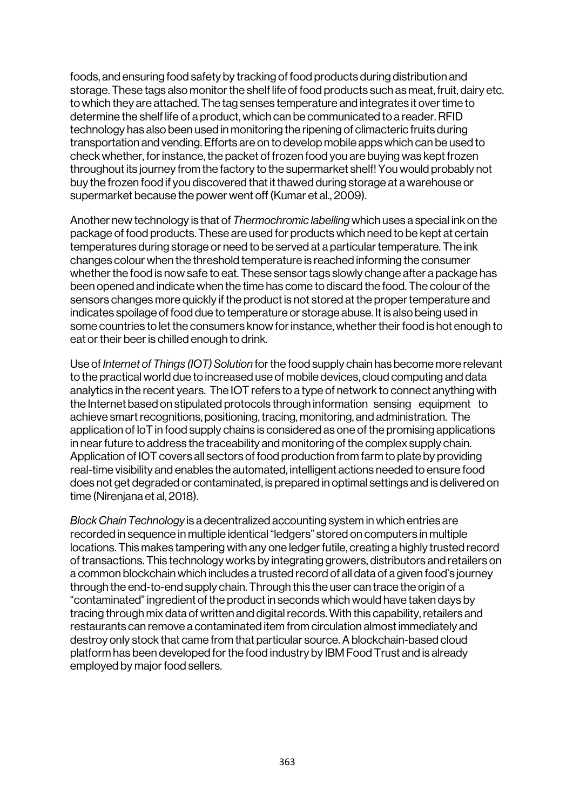foods, and ensuring food safety by tracking of food products during distribution and storage. These tags also monitor the shelf life of food products such as meat, fruit, dairy etc. to which they are attached. The tag senses temperature and integrates it over time to determine the shelf life of a product, which can be communicated to a reader. RFID technology has also been used in monitoring the ripening of climacteric fruits during transportation and vending. Efforts are on to develop mobile apps which can be used to check whether, for instance, the packet of frozen food you are buying was kept frozen throughout its journey from the factory to the supermarket shelf! You would probably not buy the frozen food if you discovered that it thawed during storage at a warehouse or supermarket because the power went off (Kumar et al., 2009).

Another new technology is that of *Thermochromic labelling* which uses a special ink on the package of food products. These are used for products which need to be kept at certain temperatures during storage or need to be served at a particular temperature. The ink changes colour when the threshold temperature is reached informing the consumer whether the food is now safe to eat. These sensor tags slowly change after a package has been opened and indicate when the time has come to discard the food. The colour of the sensors changes more quickly if the product is not stored at the proper temperature and indicates spoilage of food due to temperature or storage abuse. It is also being used in some countries to let the consumers know for instance, whether their food is hot enough to eat or their beer is chilled enough to drink.

Use of *Internet of Things (IOT) Solution* for the food supply chain has become more relevant to the practical world due to increased use of mobile devices, cloud computing and data analytics in the recent years. The IOT refers to a type of network to connect anything with the Internet based on stipulated protocols through information sensing equipment to achieve smart recognitions, positioning, tracing, monitoring, and administration. The application of IoT in food supply chains is considered as one of the promising applications in near future to address the traceability and monitoring of the complex supply chain. Application of IOT covers all sectors of food production from farm to plate by providing real-time visibility and enables the automated, intelligent actions needed to ensure food does not get degraded or contaminated, is prepared in optimal settings and is delivered on time (Nirenjana et al, 2018).

*Block Chain Technology* is a decentralized accounting system in which entries are recorded in sequence in multiple identical "ledgers" stored on computers in multiple locations. This makes tampering with any one ledger futile, creating a highly trusted record of transactions. This technology works by integrating growers, distributors and retailers on a common blockchain which includes a trusted record of all data of a given food's journey through the end-to-end supply chain. Through this the user can trace the origin of a "contaminated" ingredient of the product in seconds which would have taken days by tracing through mix data of written and digital records. With this capability, retailers and restaurants can remove a contaminated item from circulation almost immediately and destroy only stock that came from that particular source. A blockchain-based cloud platform has been developed for the food industry by IBM Food Trust and is already employed by major food sellers.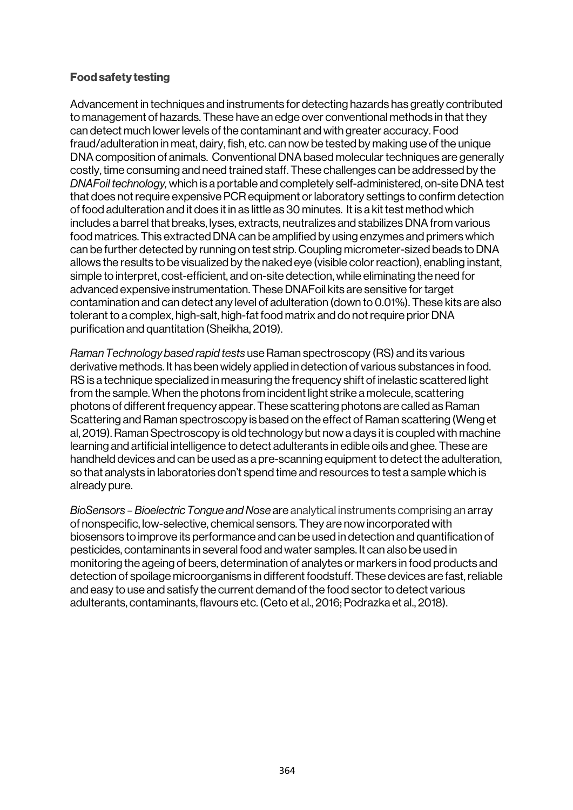### Food safety testing

Advancement in techniques and instruments for detecting hazards has greatly contributed to management of hazards. These have an edge over conventional methods in that they can detect much lower levels of the contaminant and with greater accuracy. Food fraud/adulteration in meat, dairy, fish, etc. can now be tested by making use of the unique DNA composition of animals. Conventional DNA based molecular techniques are generally costly, time consuming and need trained staff. These challenges can be addressed by the *DNAFoil technology,* which is a portable and completely self-administered, on-site DNA test that does not require expensive PCR equipment or laboratory settings to confirm detection of food adulteration and it does it in as little as 30 minutes. It is a kit test method which includes a barrel that breaks, lyses, extracts, neutralizes and stabilizes DNA from various food matrices. This extracted DNA can be amplified by using enzymes and primers which can be further detected by running on test strip. Coupling micrometer-sized beads to DNA allows the results to be visualized by the naked eye (visible color reaction), enabling instant, simple to interpret, cost-efficient, and on-site detection, while eliminating the need for advanced expensive instrumentation. These DNAFoil kits are sensitive for target contamination and can detect any level of adulteration (down to 0.01%). These kits are also tolerant to a complex, high-salt, high-fat food matrix and do not require prior DNA purification and quantitation (Sheikha, 2019).

*Raman Technology based rapid tests* useRaman spectroscopy (RS) and its various derivative methods. It has been widely applied in detection of various substances in food. RS is a technique specialized in measuring the frequency shift of inelastic scattered light from the sample. When the photons from incident light strike a molecule, scattering photons of different frequency appear. These scattering photons are called as Raman Scattering and Raman spectroscopy is based on the effect of Raman scattering (Weng et al, 2019). Raman Spectroscopy is old technology but now a days it is coupled with machine learning and artificial intelligence to detect adulterants in edible oils and ghee. These are handheld devices and can be used as a pre-scanning equipment to detect the adulteration, so that analysts in laboratories don't spend time and resources to test a sample which is already pure.

*BioSensors – Bioelectric Tongue and Nose* are analytical instruments comprising an array of nonspecific, low-selective, chemical sensors. They are now incorporated with biosensors to improve its performance and can be used in detection and quantification of pesticides, contaminants in several food and water samples. It can also be used in monitoring the ageing of beers, determination of analytes or markers in food products and detection of spoilage microorganisms in different foodstuff. These devices are fast, reliable and easy to use and satisfy the current demand of the food sector to detect various adulterants, contaminants, flavours etc. (Ceto et al., 2016; Podrazka et al., 2018).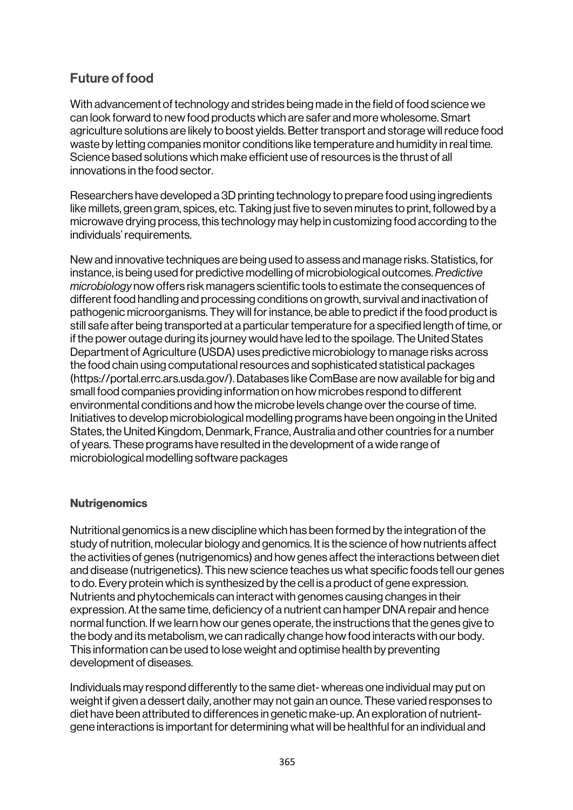## Future of food

With advancement of technology and strides being made in the field of food science we can look forward to new food products which are safer and more wholesome. Smart agriculture solutions are likely to boost yields. Better transport and storage will reduce food waste by letting companies monitor conditions like temperature and humidity in real time. Science based solutions which make efficient use of resources is the thrust of all innovations in the food sector.

Researchers have developed a 3D printing technology to prepare food using ingredients like millets, green gram, spices, etc. Taking just five to seven minutes to print, followed by a microwave drying process, this technology may help in customizing food according to the individuals' requirements.

New and innovative techniques are being used to assess and manage risks. Statistics, for instance, is being used for predictive modelling of microbiological outcomes. *Predictive microbiology* now offers risk managers scientific tools to estimate the consequences of different food handling and processing conditions on growth, survival and inactivation of pathogenic microorganisms. They will for instance, be able to predict if the food product is still safe after being transported at a particular temperature for a specified length of time, or if the power outage during its journey would have led to the spoilage. The United States Department of Agriculture (USDA) uses predictive microbiology to manage risks across the food chain using computational resources and sophisticated statistical packages (https://portal.errc.ars.usda.gov/). Databases like ComBase are now available for big and small food companies providing information on how microbes respond to different environmental conditions and how the microbe levels change over the course of time. Initiatives to develop microbiological modelling programs have been ongoing in the United States, the United Kingdom, Denmark, France, Australia and other countries for a number of years. These programs have resulted in the development of a wide range of microbiological modelling software packages

### **Nutrigenomics**

Nutritional genomics is a new discipline which has been formed by the integration of the study of nutrition, molecular biology and genomics. It is the science of how nutrients affect the activities of genes (nutrigenomics) and how genes affect the interactions between diet and disease (nutrigenetics). This new science teaches us what specific foods tell our genes to do. Every protein which is synthesized by the cell is a product of gene expression. Nutrients and phytochemicals can interact with genomes causing changes in their expression. At the same time, deficiency of a nutrient can hamper DNA repair and hence normal function. If we learn how our genes operate, the instructions that the genes give to the body and its metabolism, we can radically change how food interacts with our body. This information can be used to lose weight and optimise health by preventing development of diseases.

Individuals may respond differently to the same diet- whereas one individual may put on weight if given a dessert daily, another may not gain an ounce. These varied responses to diet have been attributed to differences in genetic make-up. An exploration of nutrientgene interactions is important for determining what will be healthful for an individual and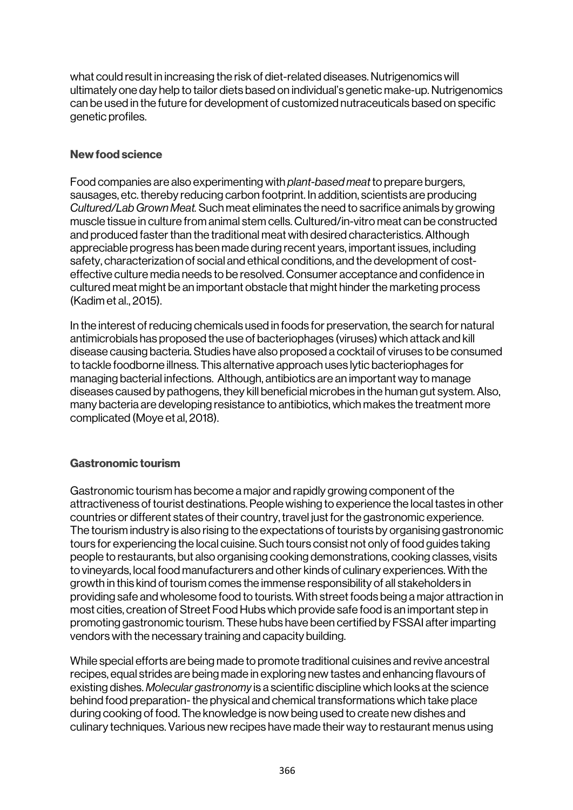what could result in increasing the risk of diet-related diseases. Nutrigenomics will ultimately one day help to tailor diets based on individual's genetic make-up. Nutrigenomics can be used in the future for development of customized nutraceuticals based on specific genetic profiles.

### New food science

Food companies are also experimenting with *plant-based meat* to prepare burgers, sausages, etc. thereby reducing carbon footprint. In addition, scientists are producing *Cultured/Lab Grown Meat.* Such meat eliminates the need to sacrifice animals by growing muscle tissue in culture from animal stem cells. Cultured/in-vitro meat can be constructed and produced faster than the traditional meat with desired characteristics. Although appreciable progress has been made during recent years, important issues, including safety, characterization of social and ethical conditions, and the development of costeffective culture media needs to be resolved. Consumer acceptance and confidence in cultured meat might be an important obstacle that might hinder the marketing process (Kadim et al., 2015).

In the interest of reducing chemicals used in foods for preservation, the search for natural antimicrobials has proposed the use of bacteriophages (viruses) which attack and kill disease causing bacteria. Studies have also proposed a cocktail of viruses to be consumed to tackle foodborne illness. This alternative approach uses lytic bacteriophages for managing bacterial infections. Although, antibiotics are an important way to manage diseases caused by pathogens, they kill beneficial microbes in the human gut system. Also, many bacteria are developing resistance to antibiotics, which makes the treatment more complicated (Moye et al, 2018).

### Gastronomic tourism

Gastronomic tourism has become a major and rapidly growing component of the attractiveness of tourist destinations. People wishing to experience the local tastes in other countries or different states of their country, travel just for the gastronomic experience. The tourism industry is also rising to the expectations of tourists by organising gastronomic tours for experiencing the local cuisine. Such tours consist not only of food guides taking people to restaurants, but also organising cooking demonstrations, cooking classes, visits to vineyards, local food manufacturers and other kinds of culinary experiences. With the growth in this kind of tourism comes the immense responsibility of all stakeholders in providing safe and wholesome food to tourists. With street foods being a major attraction in most cities, creation of Street Food Hubs which provide safe food is an important step in promoting gastronomic tourism. These hubs have been certified by FSSAI after imparting vendors with the necessary training and capacity building.

While special efforts are being made to promote traditional cuisines and revive ancestral recipes, equal strides are being made in exploring new tastes and enhancing flavours of existing dishes. *Molecular gastronomy* is a scientific discipline which looks at the science behind food preparation-the physical and chemical transformations which take place during cooking of food. The knowledge is now being used to create new dishes and culinary techniques. Various new recipes have made their way to restaurant menus using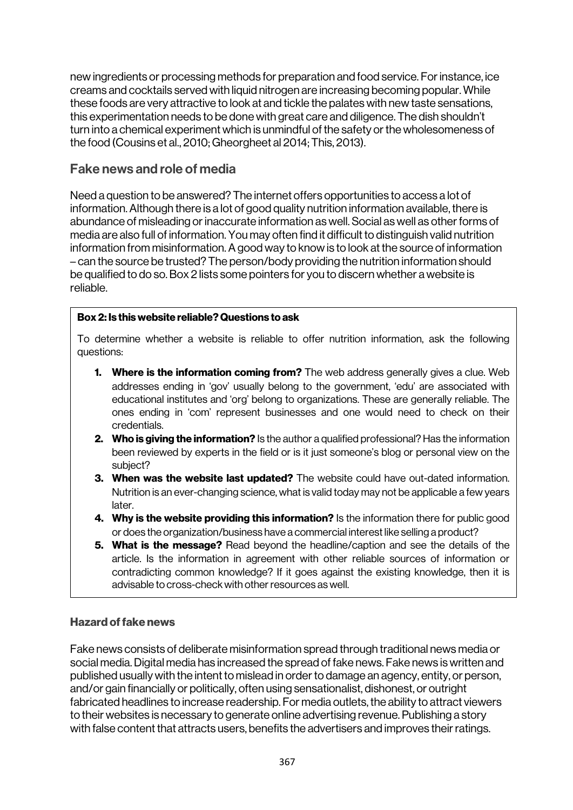new ingredients or processing methods for preparation and food service. For instance, ice creams and cocktails served with liquid nitrogen are increasing becoming popular. While these foods are very attractive to look at and tickle the palates with new taste sensations, this experimentation needs to be done with great care and diligence. The dish shouldn't turn into a chemical experiment which is unmindful of the safety or the wholesomeness of the food (Cousins et al., 2010; Gheorgheet al 2014; This, 2013).

## Fake news and role of media

Need a question to be answered? The internet offers opportunities to access a lot of information. Although there is a lot of good quality nutrition information available, there is abundance of misleading or inaccurate information as well. Social as well as other forms of media are also full of information. You may often find it difficult to distinguish valid nutrition information from misinformation. A good way to know is to look at the source of information – can the source be trusted? The person/body providing the nutrition information should be qualified to do so. Box 2 lists some pointers for you to discern whether a website is reliable.

### Box 2: Is this website reliable? Questions to ask

To determine whether a website is reliable to offer nutrition information, ask the following questions:

- **1. Where is the information coming from?** The web address generally gives a clue. Web addresses ending in 'gov' usually belong to the government, 'edu' are associated with educational institutes and 'org' belong to organizations. These are generally reliable. The ones ending in 'com' represent businesses and one would need to check on their credentials.
- 2. Who is giving the information? Is the author a qualified professional? Has the information been reviewed by experts in the field or is it just someone's blog or personal view on the subject?
- 3. When was the website last updated? The website could have out-dated information. Nutrition is an ever-changing science, what is valid today may not be applicable a few years later.
- 4. Why is the website providing this information? Is the information there for public good or does the organization/business have a commercial interest like selling a product?
- **5. What is the message?** Read beyond the headline/caption and see the details of the article. Is the information in agreement with other reliable sources of information or contradicting common knowledge? If it goes against the existing knowledge, then it is advisable to cross-check with other resources as well.

### Hazard of fake news

Fake news consists of deliberate misinformation spread through traditional news media or social media. Digital media has increased the spread of fake news. Fake news is written and published usually with the intent to mislead in order to damage an agency, entity, or person, and/or gain financially or politically, often using sensationalist, dishonest, or outright fabricated headlines to increase readership. For media outlets, the ability to attract viewers to their websites is necessary to generate online advertising revenue. Publishing a story with false content that attracts users, benefits the advertisers and improves their ratings.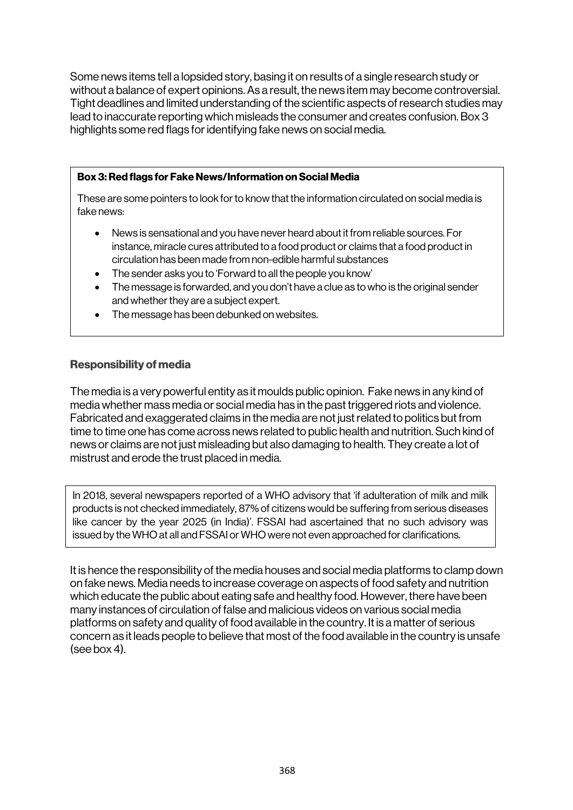Some news items tell a lopsided story, basing it on results of a single research study or without a balance of expert opinions. As a result, the news item may become controversial. Tight deadlines and limited understanding of the scientific aspects of research studies may lead to inaccurate reporting which misleads the consumer and creates confusion. Box 3 highlights some red flags for identifying fake news on social media.

### Box 3: Red flags for Fake News/Information on Social Media

These are some pointers to look for to know that the information circulated on social media is fake news:

- News is sensational and you have never heard about it from reliable sources. For instance, miracle cures attributed to a food product or claims that a food product in circulation has been made from non-edible harmful substances
- The sender asks you to 'Forward to all the people you know'
- The message is forwarded, and you don't have a clue as to who is the original sender and whether they are a subject expert.
- The message has been debunked on websites.

### Responsibility of media

The media is a very powerful entity as it moulds public opinion. Fake news in any kind of media whether mass media or social media has in the past triggered riots and violence. Fabricated and exaggerated claims in the media are not just related to politics but from time to time one has come across news related to public health and nutrition. Such kind of news or claims are not just misleading but also damaging to health. They create a lot of mistrust and erode the trust placed in media.

In 2018, several newspapers reported of a WHO advisory that 'if adulteration of milk and milk products is not checked immediately, 87% of citizens would be suffering from serious diseases like cancer by the year 2025 (in India)'. FSSAI had ascertained that no such advisory was issued by the WHO at all and FSSAI or WHO were not even approached for clarifications.

It is hence the responsibility of the media houses and social media platforms to clamp down on fake news. Media needs to increase coverage on aspects of food safety and nutrition which educate the public about eating safe and healthy food. However, there have been many instances of circulation of false and malicious videos on various social media platforms on safety and quality of food available in the country. It is a matter of serious concern as it leads people to believe that most of the food available in the country is unsafe (see box 4).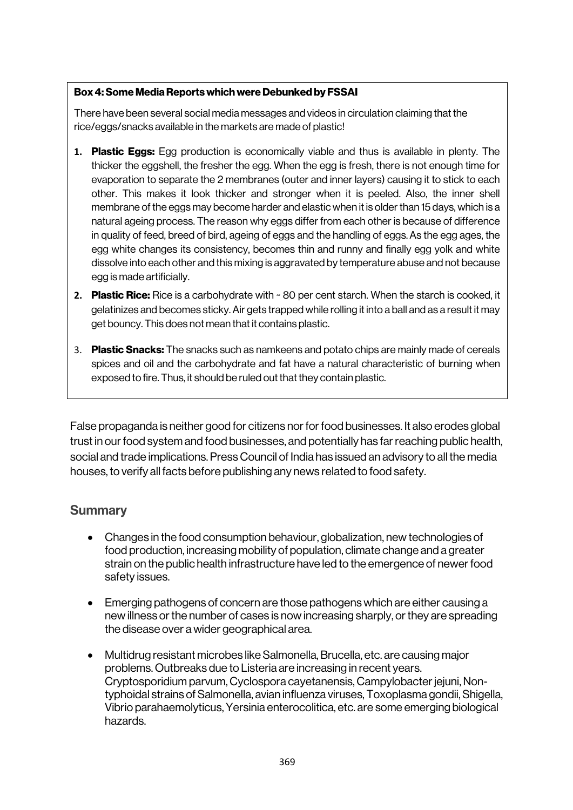### Box 4: Some Media Reports which were Debunked by FSSAI

There have been several social media messages and videos in circulation claiming that the rice/eggs/snacks available in the markets are made of plastic!

- **1.** Plastic Eggs: Egg production is economically viable and thus is available in plenty. The thicker the eggshell, the fresher the egg. When the egg is fresh, there is not enough time for evaporation to separate the 2 membranes (outer and inner layers) causing it to stick to each other. This makes it look thicker and stronger when it is peeled. Also, the inner shell membrane of the eggs may become harder and elastic when it is older than 15 days, which is a natural ageing process. The reason why eggs differ from each other is because of difference in quality of feed, breed of bird, ageing of eggs and the handling of eggs.As the egg ages, the egg white changes its consistency, becomes thin and runny and finally egg yolk and white dissolve into each other and this mixing is aggravated by temperature abuse and not because egg is made artificially.
- **2.** Plastic Rice: Rice is a carbohydrate with ~ 80 per cent starch. When the starch is cooked, it gelatinizes and becomes sticky. Air gets trapped while rolling it into a ball and as a result it may get bouncy. This does not mean that it contains plastic.
- 3. Plastic Snacks: The snacks such as namkeens and potato chips are mainly made of cereals spices and oil and the carbohydrate and fat have a natural characteristic of burning when exposed to fire. Thus, it should be ruled out that they contain plastic.

False propaganda is neither good for citizens nor for food businesses. It also erodes global trust in our food system and food businesses, and potentially has far reaching public health, social and trade implications. Press Council of India has issued an advisory to all the media houses, to verify all facts before publishing any news related to food safety.

## **Summary**

- Changes in the food consumption behaviour, globalization, new technologies of food production, increasing mobility of population, climate change and a greater strain on the public health infrastructure have led to the emergence of newer food safety issues.
- Emerging pathogens of concern are those pathogens which are either causing a new illness or the number of cases is now increasing sharply, or they are spreading the disease over a wider geographical area.
- Multidrug resistant microbes like Salmonella, Brucella, etc. are causing major problems. Outbreaks due to Listeria are increasing in recent years. Cryptosporidium parvum, Cyclospora cayetanensis, Campylobacter jejuni, Nontyphoidal strains of Salmonella, avian influenza viruses, Toxoplasma gondii, Shigella, Vibrio parahaemolyticus, Yersinia enterocolitica, etc. are some emerging biological hazards.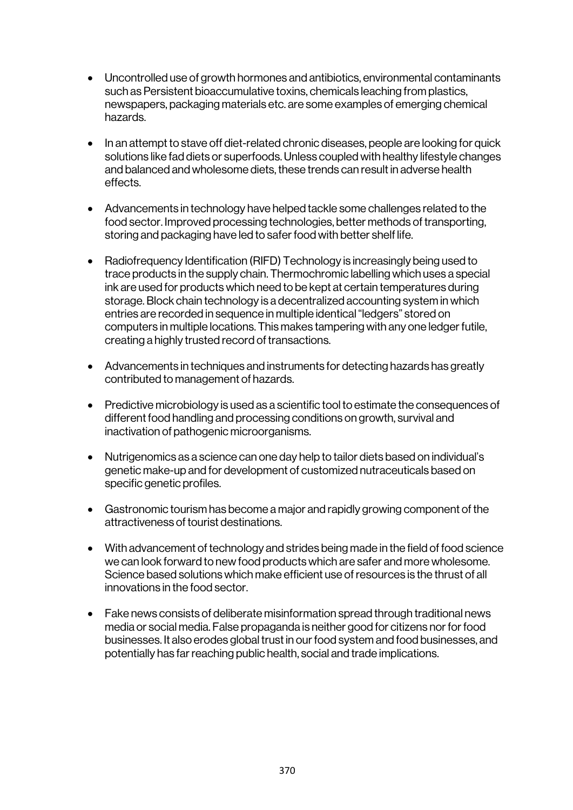- Uncontrolled use of growth hormones and antibiotics, environmental contaminants such as Persistent bioaccumulative toxins, chemicals leaching from plastics, newspapers, packaging materials etc. are some examples of emerging chemical hazards.
- In an attempt to stave off diet-related chronic diseases, people are looking for quick solutions like fad diets or superfoods. Unless coupled with healthy lifestyle changes and balanced and wholesome diets, these trends can result in adverse health effects.
- Advancements in technology have helped tackle some challenges related to the food sector. Improved processing technologies, better methods of transporting, storing and packaging have led to safer food with better shelf life.
- Radiofrequency Identification (RIFD) Technology is increasingly being used to trace products in the supply chain. Thermochromic labelling which uses a special ink are used for products which need to be kept at certain temperatures during storage. Block chain technology is a decentralized accounting system in which entries are recorded in sequence in multiple identical "ledgers" stored on computers in multiple locations. This makes tampering with any one ledger futile, creating a highly trusted record of transactions.
- Advancements in techniques and instruments for detecting hazards has greatly contributed to management of hazards.
- Predictive microbiology is used as a scientific tool to estimate the consequences of different food handling and processing conditions on growth, survival and inactivation of pathogenic microorganisms.
- Nutrigenomics as a science can one day help to tailor diets based on individual's genetic make-up and for development of customized nutraceuticals based on specific genetic profiles.
- Gastronomic tourism has become a major and rapidly growing component of the attractiveness of tourist destinations.
- With advancement of technology and strides being made in the field of food science we can look forward to new food products which are safer and more wholesome. Science based solutions which make efficient use of resources is the thrust of all innovations in the food sector.
- Fake news consists of deliberate misinformation spread through traditional news media or social media. False propaganda is neither good for citizens nor for food businesses. It also erodes global trust in our food system and food businesses, and potentially has far reaching public health, social and trade implications.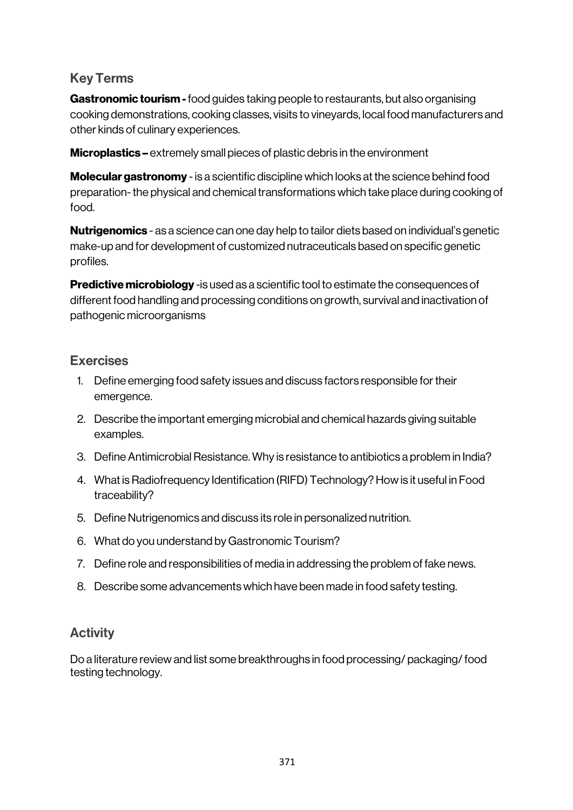## Key Terms

Gastronomic tourism - food guides taking people to restaurants, but also organising cooking demonstrations, cooking classes, visits to vineyards, local food manufacturers and other kinds of culinary experiences.

Microplastics – extremely small pieces of plastic debris in the environment

**Molecular gastronomy** - is a scientific discipline which looks at the science behind food preparation-the physical and chemical transformations which take place during cooking of food.

**Nutrigenomics** - as a science can one day help to tailor diets based on individual's genetic make-up and for development of customized nutraceuticals based on specific genetic profiles.

**Predictive microbiology** -is used as a scientific tool to estimate the consequences of different food handling and processing conditions on growth, survival and inactivation of pathogenic microorganisms

## Exercises

- 1. Define emerging food safety issues and discuss factors responsible for their emergence.
- 2. Describe the important emerging microbial and chemical hazards giving suitable examples.
- 3. Define Antimicrobial Resistance. Why is resistance to antibiotics a problem in India?
- 4. What is Radiofrequency Identification (RIFD) Technology? How is it useful in Food traceability?
- 5. Define Nutrigenomics and discuss its role in personalized nutrition.
- 6. What do you understand by Gastronomic Tourism?
- 7. Define role and responsibilities of media in addressing the problem of fake news.
- 8. Describe some advancements which have been made in food safety testing.

## **Activity**

Do a literature review and list some breakthroughs in food processing/ packaging/ food testing technology.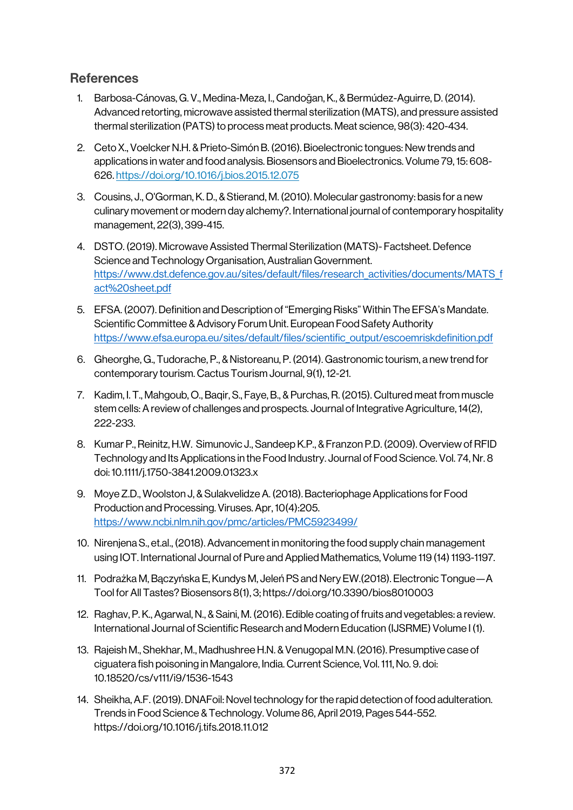## **References**

- 1. Barbosa-Cánovas, G. V., Medina-Meza, I., Candoğan, K., & Bermúdez-Aguirre, D. (2014). Advanced retorting, microwave assisted thermal sterilization (MATS), and pressure assisted thermal sterilization (PATS) to process meat products. Meat science, 98(3): 420-434.
- 2. Ceto X., Voelcker N.H. & Prieto-Simón B. (2016). Bioelectronic tongues: New trends and applications in water and food analysis. Biosensors and Bioelectronics. Volume 79, 15: 608- 626. https://doi.org/10.1016/j.bios.2015.12.075
- 3. Cousins, J., O'Gorman, K. D., & Stierand, M. (2010). Molecular gastronomy: basis for a new culinary movement or modern day alchemy?. International journal of contemporary hospitality management, 22(3), 399-415.
- 4. DSTO. (2019). Microwave Assisted Thermal Sterilization (MATS)- Factsheet. Defence Science and Technology Organisation, Australian Government. https://www.dst.defence.gov.au/sites/default/files/research\_activities/documents/MATS\_f act%20sheet.pdf
- 5. EFSA. (2007). Definition and Description of "Emerging Risks" Within The EFSA's Mandate. Scientific Committee & Advisory Forum Unit. European Food Safety Authority https://www.efsa.europa.eu/sites/default/files/scientific\_output/escoemriskdefinition.pdf
- 6. Gheorghe, G., Tudorache, P., & Nistoreanu, P. (2014). Gastronomic tourism, a new trend for contemporary tourism. Cactus Tourism Journal, 9(1), 12-21.
- 7. Kadim, I. T., Mahgoub, O., Baqir, S., Faye, B., & Purchas, R. (2015). Cultured meat from muscle stem cells: A review of challenges and prospects. Journal of Integrative Agriculture, 14(2), 222-233.
- 8. Kumar P., Reinitz, H.W. Simunovic J., Sandeep K.P., & Franzon P.D. (2009). Overview of RFID Technology and Its Applications in the Food Industry. Journal of Food Science. Vol. 74, Nr. 8 doi: 10.1111/j.1750-3841.2009.01323.x
- 9. Moye Z.D., Woolston J, & Sulakvelidze A. (2018). Bacteriophage Applications for Food Production and Processing. Viruses. Apr, 10(4):205. https://www.ncbi.nlm.nih.gov/pmc/articles/PMC5923499/
- 10. Nirenjena S., et.al., (2018). Advancement in monitoring the food supply chain management using IOT. International Journal of Pure and Applied Mathematics, Volume 119 (14) 1193-1197.
- 11. Podrażka M, Bączyńska E, Kundys M, Jeleń PS and Nery EW.(2018). Electronic Tongue—A Tool for All Tastes?Biosensors 8(1), 3; https://doi.org/10.3390/bios8010003
- 12. Raghav, P. K., Agarwal, N., & Saini, M. (2016). Edible coating of fruits and vegetables: a review. International Journal of Scientific Research and Modern Education (IJSRME) Volume I (1).
- 13. Rajeish M., Shekhar, M., Madhushree H.N. & Venugopal M.N.(2016). Presumptive case of ciguatera fish poisoning in Mangalore, India. Current Science, Vol. 111, No. 9. doi: 10.18520/cs/v111/i9/1536-1543
- 14. Sheikha, A.F. (2019). DNAFoil: Novel technology for the rapid detection of food adulteration. Trends in Food Science & Technology. Volume 86, April 2019, Pages 544-552. https://doi.org/10.1016/j.tifs.2018.11.012